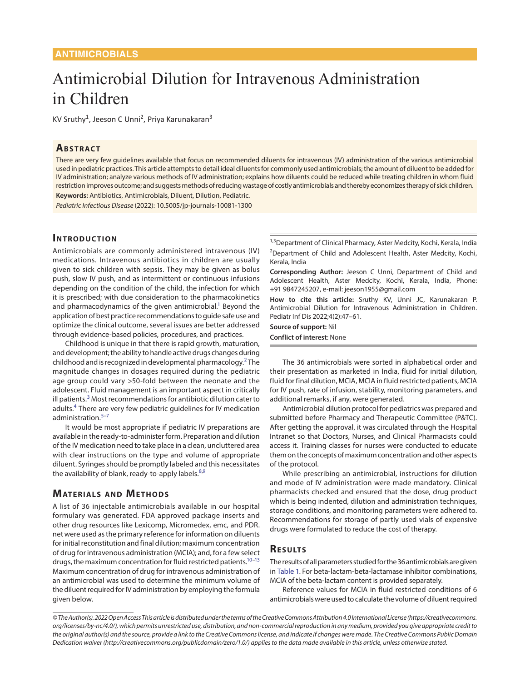# Antimicrobial Dilution for Intravenous Administration in Children

KV Sruthy<sup>1</sup>, Jeeson C Unni<sup>2</sup>, Priya Karunakaran<sup>3</sup>

#### **ABSTRACT**

There are very few guidelines available that focus on recommended diluents for intravenous (IV) administration of the various antimicrobial used in pediatric practices. This article attempts to detail ideal diluents for commonly used antimicrobials; the amount of diluent to be added for IV administration; analyze various methods of IV administration; explains how diluents could be reduced while treating children in whom fluid restriction improves outcome; and suggests methods of reducing wastage of costly antimicrobials and thereby economizes therapy of sick children. **Keywords:** Antibiotics, Antimicrobials, Diluent, Dilution, Pediatric.

*Pediatric Infectious Disease* (2022): 10.5005/jp-journals-10081-1300

#### **INTRODUCTION**

Antimicrobials are commonly administered intravenous (IV) medications. Intravenous antibiotics in children are usually given to sick children with sepsis. They may be given as bolus push, slow IV push, and as intermittent or continuous infusions depending on the condition of the child, the infection for which it is prescribed; with due consideration to the pharmacokinetics and pharmacodynamics of the given antimicrobial.<sup>1</sup> Beyond the application of best practice recommendations to guide safe use and optimize the clinical outcome, several issues are better addressed through evidence-based policies, procedures, and practices.

Childhood is unique in that there is rapid growth, maturation, and development; the ability to handle active drugs changes during childhood and is recognized in developmental pharmacology.<sup>[2](#page-13-1)</sup> The magnitude changes in dosages required during the pediatric age group could vary >50-fold between the neonate and the adolescent. Fluid management is an important aspect in critically ill patients.<sup>[3](#page-13-2)</sup> Most recommendations for antibiotic dilution cater to adults.<sup>[4](#page-13-3)</sup> There are very few pediatric guidelines for IV medication administration.<sup>[5](#page-14-0)-7</sup>

<span id="page-0-8"></span><span id="page-0-7"></span><span id="page-0-4"></span><span id="page-0-3"></span>It would be most appropriate if pediatric IV preparations are available in the ready-to-administer form. Preparation and dilution of the IV medication need to take place in a clean, uncluttered area with clear instructions on the type and volume of appropriate diluent. Syringes should be promptly labeled and this necessitates the availability of blank, ready-to-apply labels.<sup>[8,](#page-14-2)[9](#page-14-3)</sup>

# **MATERIALS AND METHODS**

A list of 36 injectable antimicrobials available in our hospital formulary was generated. FDA approved package inserts and other drug resources like Lexicomp, Micromedex, emc, and PDR. net were used as the primary reference for information on diluents for initial reconstitution and final dilution; maximum concentration of drug for intravenous administration (MCIA); and, for a few select drugs, the maximum concentration for fluid restricted patients.<sup>10-13</sup> Maximum concentration of drug for intravenous administration of an antimicrobial was used to determine the minimum volume of the diluent required for IV administration by employing the formula given below.

<sup>1,3</sup>Department of Clinical Pharmacy, Aster Medcity, Kochi, Kerala, India <sup>2</sup>Department of Child and Adolescent Health, Aster Medcity, Kochi, Kerala, India

**Corresponding Author:** Jeeson C Unni, Department of Child and Adolescent Health, Aster Medcity, Kochi, Kerala, India, Phone: +91 9847245207, e-mail: jeeson1955@gmail.com

<span id="page-0-1"></span>**How to cite this article:** Sruthy KV, Unni JC, Karunakaran P. Antimicrobial Dilution for Intravenous Administration in Children. Pediatr Inf Dis 2022;4(2):47–61.

**Source of support:** Nil **Conflict of interest**: None

<span id="page-0-2"></span>The 36 antimicrobials were sorted in alphabetical order and their presentation as marketed in India, fluid for initial dilution, fluid for final dilution, MCIA, MCIA in fluid restricted patients, MCIA for IV push, rate of infusion, stability, monitoring parameters, and additional remarks, if any, were generated.

Antimicrobial dilution protocol for pediatrics was prepared and submitted before Pharmacy and Therapeutic Committee (P&TC). After getting the approval, it was circulated through the Hospital Intranet so that Doctors, Nurses, and Clinical Pharmacists could access it. Training classes for nurses were conducted to educate them on the concepts of maximum concentration and other aspects of the protocol.

<span id="page-0-10"></span><span id="page-0-9"></span>While prescribing an antimicrobial, instructions for dilution and mode of IV administration were made mandatory. Clinical pharmacists checked and ensured that the dose, drug product which is being indented, dilution and administration techniques, storage conditions, and monitoring parameters were adhered to. Recommendations for storage of partly used vials of expensive drugs were formulated to reduce the cost of therapy.

## <span id="page-0-6"></span><span id="page-0-5"></span>**Re s u lts**

<span id="page-0-0"></span>The results of all parameters studied for the 36 antimicrobials are given in [Table 1](#page-10-0). For beta-lactam-beta-lactamase inhibitor combinations, MCIA of the beta-lactam content is provided separately.

Reference values for MCIA in fluid restricted conditions of 6 antimicrobials were used to calculate the volume of diluent required

*<sup>©</sup> The Author(s). 2022 Open Access This article is distributed under the terms of the Creative Commons Attribution 4.0 International License (https://creativecommons. org/licenses/by-nc/4.0/), which permits unrestricted use, distribution, and non-commercial reproduction in any medium, provided you give appropriate credit to the original author(s) and the source, provide a link to the Creative Commons license, and indicate if changes were made. The Creative Commons Public Domain Dedication waiver (http://creativecommons.org/publicdomain/zero/1.0/) applies to the data made available in this article, unless otherwise stated.*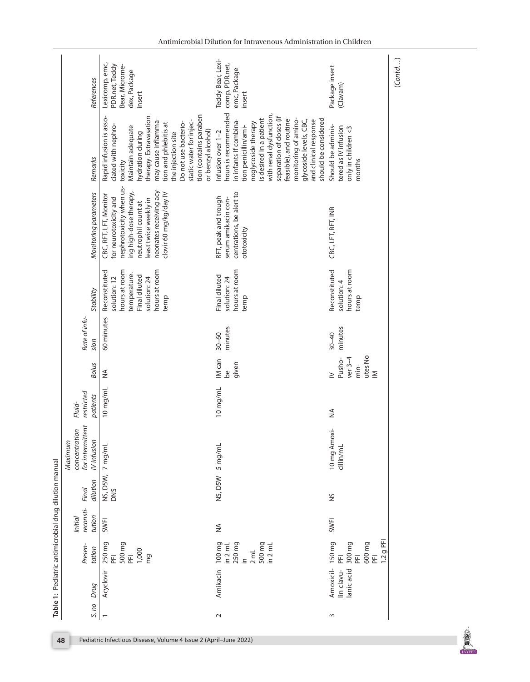| References                                                       | Lexicomp, emc,<br>PDR.net, Teddy<br>Bear, Microme-<br>dex, Package<br>insert<br>tion (contains paraben<br>therapy. Extravasation<br>Rapid infusion is asso-<br>may cause inflamma-<br>static water for injec-<br>Do not use bacterio-<br>tion and phlebitis at<br>ciated with nephro- | Teddy Bear, Lexi-<br>comp, PDR.net,<br>emc, Package<br>insert<br>hours is recommended<br>with renal dysfunction,<br>separation of doses (if<br>should be considered<br>monitoring of amino-<br>feasible), and routine<br>is desired in a patient<br>glycoside levels, CBC,<br>in infants If combina-<br>and clinical response<br>noglycoside therapy | Package insert<br>(Clavam)<br>Should be adminis-                             |
|------------------------------------------------------------------|---------------------------------------------------------------------------------------------------------------------------------------------------------------------------------------------------------------------------------------------------------------------------------------|------------------------------------------------------------------------------------------------------------------------------------------------------------------------------------------------------------------------------------------------------------------------------------------------------------------------------------------------------|------------------------------------------------------------------------------|
| Remarks                                                          | Maintain adequate<br>or benzyl alcohol)<br>hydration during<br>the injection site<br>toxicity                                                                                                                                                                                         | tion penicillin/ami-<br>Infusion over 1-2                                                                                                                                                                                                                                                                                                            | tered as IV infusion<br>only in children <3<br>months                        |
| Monitoring parameters                                            | nephrotoxicity when us-<br>neonates receiving acy-<br>ing high-dose therapy,<br>clovir 60 mg/kg/day IV<br>CBC, RFT, LFT, Monitor<br>for neurotoxicity and<br>least twice weekly in<br>neutrophil count at                                                                             | centrations, be alert to<br>RFT, peak and trough<br>serum amikacin con-<br>ototoxicity                                                                                                                                                                                                                                                               | CBC, LFT, RFT, INR                                                           |
| Stability                                                        | hours at room<br>Reconstituted<br>hours at room<br>temperature.<br>Final diluted<br>solution: 12<br>solution: 24<br>temp                                                                                                                                                              | hours at room<br>Final diluted<br>solution: 24<br>temp                                                                                                                                                                                                                                                                                               | Reconstituted<br>hours at room<br>solution: 4<br>temp                        |
| Rate of infu-<br>sion                                            | 60 minutes                                                                                                                                                                                                                                                                            | minutes<br>$30 - 60$                                                                                                                                                                                                                                                                                                                                 | minutes<br>$30 - 40$                                                         |
| <b>Bolus</b>                                                     | $\frac{1}{2}$                                                                                                                                                                                                                                                                         | IM can<br>given<br>be                                                                                                                                                                                                                                                                                                                                | utes No<br>Pusho-<br>ver $3-4$<br>min-<br>$\geq$<br>$\geq$                   |
| restricted<br>patients<br>Fluid-                                 | 10 mg/mL                                                                                                                                                                                                                                                                              | 10 mg/mL                                                                                                                                                                                                                                                                                                                                             | ≨                                                                            |
| concentration<br>for intermitter<br><b>IVinfusion</b><br>Maximum | 7 mg/mL                                                                                                                                                                                                                                                                               | 5 mg/mL                                                                                                                                                                                                                                                                                                                                              | 10 mg Amoxi-<br>cillin/mL                                                    |
| dilution<br>Final                                                | NS, D5W,<br><b>DNS</b>                                                                                                                                                                                                                                                                | NS, DSW                                                                                                                                                                                                                                                                                                                                              | SN                                                                           |
| reconsti-<br>tution<br>Initial                                   | SWFI                                                                                                                                                                                                                                                                                  | $\lessgtr$                                                                                                                                                                                                                                                                                                                                           | <b>SWFI</b>                                                                  |
| Presen-<br>tation                                                | 250 mg<br>PFI<br>500 mg<br>1,000<br>$\overline{E}$<br>mg                                                                                                                                                                                                                              | $100 \, mg$<br>in 2 mL<br>250 mg<br>500 mg<br>$\frac{1}{2}$ mL<br>$2$ mL<br>$\equiv$                                                                                                                                                                                                                                                                 | 1.2 g PFI<br>150 mg<br>300 mg<br>600 mg<br>E<br>$\overline{\mathbb{E}}$<br>E |
| Drug                                                             | Acyclovir                                                                                                                                                                                                                                                                             | Amikacin                                                                                                                                                                                                                                                                                                                                             | Amoxicil-<br>anic acid<br>lin clavu-                                         |
| S. no                                                            | $\overline{\phantom{0}}$                                                                                                                                                                                                                                                              | $\sim$                                                                                                                                                                                                                                                                                                                                               | 3                                                                            |

Antimicrobial Dilution for Intravenous Administration in Children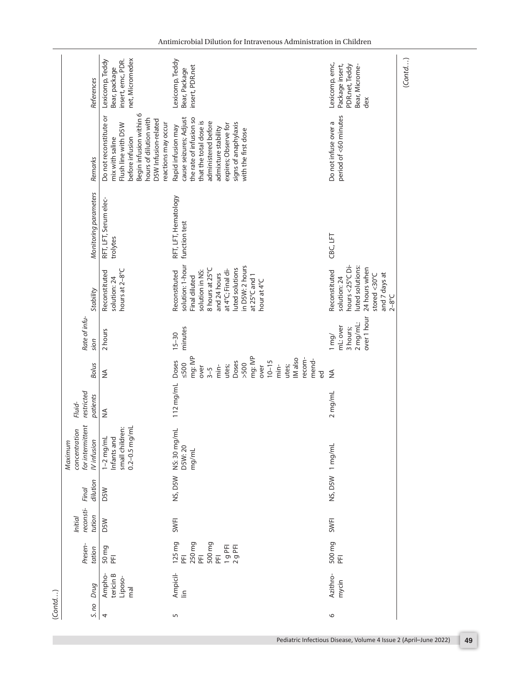| (Cond)                       |                                                                                                                                                                            |                                       |                   |                                                                   |                                  |                                                                                                                                                                                |                                                            |                                                                                                                                                                                                     |                                       |                                                                                                                                                                                                                        |                                                                              |
|------------------------------|----------------------------------------------------------------------------------------------------------------------------------------------------------------------------|---------------------------------------|-------------------|-------------------------------------------------------------------|----------------------------------|--------------------------------------------------------------------------------------------------------------------------------------------------------------------------------|------------------------------------------------------------|-----------------------------------------------------------------------------------------------------------------------------------------------------------------------------------------------------|---------------------------------------|------------------------------------------------------------------------------------------------------------------------------------------------------------------------------------------------------------------------|------------------------------------------------------------------------------|
| Drug<br>5. no                | Presen-<br>tation                                                                                                                                                          | reconsti-<br>tution<br><b>Initial</b> | dilution<br>Final | for intermittent<br>concentration<br><b>IVinfusion</b><br>Maximum | restricted<br>patients<br>Fluid- | <b>Bolus</b>                                                                                                                                                                   | Rate of infu-<br>sion                                      | Stability                                                                                                                                                                                           | Monitoring parameters                 | Remarks                                                                                                                                                                                                                | References                                                                   |
| Liposo-<br>mal<br>4          | 50 mg<br>PFI<br>Ampho-<br>tericin B                                                                                                                                        | <b>D5W</b>                            | <b>D5W</b>        | small children:<br>0.2-0.5 mg/mL<br>$1 - 2$ mg/mL<br>Infants and  | $\frac{4}{2}$                    | $\frac{1}{2}$                                                                                                                                                                  | 2 hours                                                    | hours at 2-8°C<br>Reconstituted<br>solution: 24                                                                                                                                                     | RFT, LFT, Serum elec-<br>trolytes     | Begin infusion within 6<br>Do not reconstitute or<br>hours of dilution with<br>D5W Infusion-related<br>reactions may occur<br>Flush line with D5W<br>before infusion<br>mix with saline                                | net, Micromedex<br>Lexicomp, Teddy<br>insert, emc, PDR.<br>Bear, package     |
| 5                            | 125 mg<br>PFI<br>250 mg<br>500 mg<br>$\begin{array}{c} 1 \ 9 \ \text{PE} \\ 2 \ 9 \ \text{PE} \end{array}$<br>$\overline{E}$<br>$\overline{\mathbb{E}}$<br>Ampicil-<br>lin | SWFI                                  | NS, DSW           | NS: 30 mg/mL<br>D5W:20<br>mg/mL                                   | $112$ mg/mL                      | mg: IVP<br>mg: IVP<br>IM also<br>recom-<br>mend-<br>Doses<br>Doses<br>$10 - 15$<br>$5002$<br>$>500$<br>over<br>min<br>utes;<br>$\frac{1}{2}$<br>utes;<br>over<br>$3 - 5$<br>θÓ | minutes<br>$15 - 30$                                       | solution: 1-hour<br>in D5W: 2 hours<br>8 hours at 25°C<br>luted solutions<br>at 4°C; Final di-<br>solution in NS:<br>Reconstituted<br>and 24 hours<br>at 25°C and 1<br>Final diluted<br>hour at 4°C | RFT, LFT, Hematology<br>function test | cause seizures; Adjust<br>the rate of infusion so<br>that the total dose is<br>administered before<br>signs of anaphylaxis<br>expires; Observe for<br>Rapid infusion may<br>admixture stability<br>with the first dose | Lexicomp, Teddy<br>insert, PDR.net<br>Bear, Package                          |
| Azithro-<br>mycin<br>$\circ$ | 500 mg<br>$\overline{\mathbb{E}}$                                                                                                                                          | <b>SWFI</b>                           |                   | NS, D5W 1 mg/mL                                                   | $2$ mg/mL                        | $\frac{1}{2}$                                                                                                                                                                  | over 1 hour<br>2 mg/mL:<br>mL: over<br>3 hours;<br>$1$ mg/ | hours <25°C Di-<br>luted solutions:<br>24 hours when<br>Reconstituted<br>and 7 days at<br>stored <30°C<br>solution: 24<br>$2-8^{\circ}C$                                                            | CBC, LFT                              | period of <60 minutes<br>Do not infuse over a                                                                                                                                                                          | Lexicomp, emc,<br>Package insert,<br>PDR.net, Teddy<br>Bear, Microme-<br>dex |

(*Contd…*)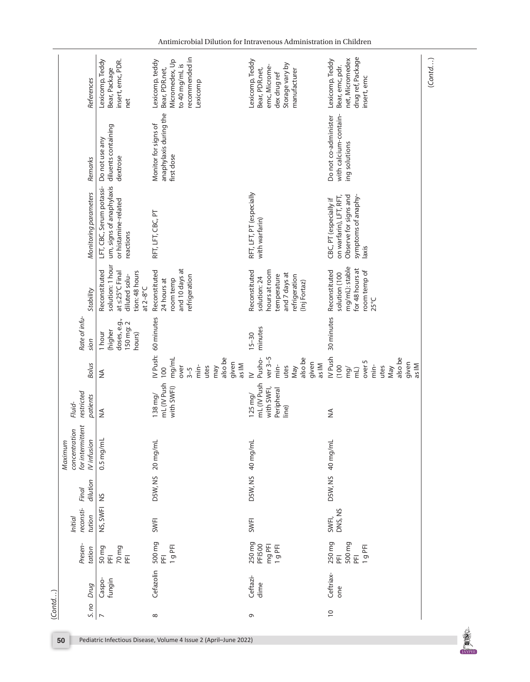|        | References                                                        | Lexicomp, Teddy<br>insert, emc, PDR.<br>Bear, Package<br>net                                                | recommended in<br>Micromedex, Up<br>Lexicomp, teddy<br>to 40 mg/mL is<br>Bear, PDR.net,<br>Lexicomp | Lexicomp, Teddy<br>Storage vary by<br>emc, Microme-<br>Bear, PDR.net,<br>manufacturer<br>dex drug ref           | drug ref, Package<br>net, Micromedex<br>Lexicomp, Teddy<br>Bear, emc, pdr.<br>insert, emc                  | (Cond) |
|--------|-------------------------------------------------------------------|-------------------------------------------------------------------------------------------------------------|-----------------------------------------------------------------------------------------------------|-----------------------------------------------------------------------------------------------------------------|------------------------------------------------------------------------------------------------------------|--------|
|        | Remarks                                                           | diluents containing<br>Do not use any<br>dextrose                                                           | anaphylaxis during the<br>Monitor for signs of<br>first dose                                        |                                                                                                                 | with calcium-contain-<br>Do not co-administer<br>ing solutions                                             |        |
|        | Monitoring parameters                                             | um, signs of anaphylaxis<br>LFT, CBC, Serum potassi-<br>or histamine-related<br>reactions                   | RFT, LFT, CBC, PT                                                                                   | RFT, LFT, PT (especially<br>with warfarin)                                                                      | on warfarin), LFT, RFT,<br>Observe for signs and<br>symptoms of anaphy-<br>CBC, PT (especially if<br>laxis |        |
|        | Stability                                                         | solution: 1 hour<br>Reconstituted<br>at $\leq$ 25°C Final<br>tion: 48 hours<br>diluted solu-<br>at $2-8$ °C | and 10 days at<br>Reconstituted<br>refrigeration<br>room temp<br>24 hours at                        | Reconstituted<br>hours at room<br>and 7 days at<br>temperature<br>refrigeration<br>solution: 24<br>(Inj Fortaz) | mg/mL): stable<br>for 48 hours at<br>Reconstituted<br>room temp of<br>solution (100<br>$25^{\circ}C$       |        |
|        | Rate of infu-<br>sion                                             | doses, e.g.,<br>150 mg: 2<br>(higher<br>1 hour<br>hours)                                                    | IV Push: 60 minutes                                                                                 | minutes<br>$15 - 30$                                                                                            | 30 minutes                                                                                                 |        |
|        | <b>Bolus</b>                                                      | ≸                                                                                                           | mg/mL<br>also be<br>given<br>as IM<br>min-<br>over<br>utes<br>may<br>100<br>$3 - 5$                 | $ver3-5$<br>also be<br>Pusho-<br>given<br>as IM<br>min-<br>utes<br>May<br>$\geq$                                | IV Push<br>also be<br>over 5<br>given<br>as IM<br>min-<br>utes<br>(100)<br>May<br>mg/<br>$\overline{m}$    |        |
|        | restricted<br>patients<br>Fluid-                                  | ≨                                                                                                           | mL (IV Push<br>with SWFI)<br>$138$ mg/                                                              | mL (IV Push<br>with SWFI,<br>Peripheral<br>$125$ mg/<br>line)                                                   | ≨                                                                                                          |        |
|        | for intermittent<br>concentration<br><b>IVinfusion</b><br>Maximum | $0.5$ mg/mL                                                                                                 | D5W, NS 20 mg/mL                                                                                    | D5W, NS 40 mg/mL                                                                                                | D5W, NS 40 mg/mL                                                                                           |        |
|        | dilution<br>Final                                                 |                                                                                                             |                                                                                                     |                                                                                                                 |                                                                                                            |        |
|        | reconsti-<br>tution<br><b>Initial</b>                             | NS, SWFINS                                                                                                  | <b>SWFI</b>                                                                                         | SWFI                                                                                                            | DNS, NS<br>SWFI,                                                                                           |        |
|        | Presen-<br>tation                                                 | 70 <sub>mg</sub><br>50 mg<br>PFI<br>E                                                                       | 500 mg<br>1g PFI<br>E                                                                               | 250 mg<br>mg PFI<br><b>PFI500</b><br>1g PFI                                                                     | 250 mg<br>500 mg<br>1g PFI<br>$\overline{E}$<br>E                                                          |        |
|        | Drug                                                              | Caspo-<br>fungin                                                                                            | Cefazolin                                                                                           | Ceftazi-<br>dime                                                                                                | Ceftriax-<br>one                                                                                           |        |
| (Cond) | 5. no                                                             | $\overline{C}$                                                                                              | ${}^{\circ}$                                                                                        | G                                                                                                               | $\overline{C}$                                                                                             |        |

**DESCRIPTION**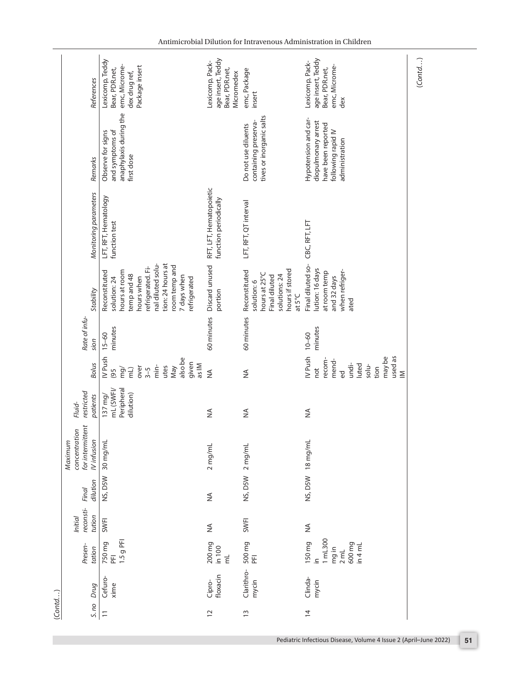|        | References                                                         | Lexicomp, Teddy<br>emc, Microme-<br>Package insert<br>Bear, PDR.net,<br>dex drug ref,                                                                                                     | age insert, Teddy<br>Lexicomp, Pack-<br>Bear, PDR.net,<br>Micromedex | emc, Package<br>insert                                                                                       | age insert, Teddy<br>Lexicomp, Pack-<br>emc, Microme-<br>Bear, PDR.net,<br>dex                              | (Cond) |
|--------|--------------------------------------------------------------------|-------------------------------------------------------------------------------------------------------------------------------------------------------------------------------------------|----------------------------------------------------------------------|--------------------------------------------------------------------------------------------------------------|-------------------------------------------------------------------------------------------------------------|--------|
|        | Remarks                                                            | anaphylaxis during the<br>and symptoms of<br>Observe for signs<br>first dose                                                                                                              |                                                                      | tives or inorganic salts<br>containing preserva-<br>Do not use diluents                                      | Hypotension and car-<br>diopulmonary arrest<br>have been reported<br>following rapid IV<br>administration   |        |
|        | Monitoring parameters                                              | LFT, RFT, Hematology<br>function test                                                                                                                                                     | RFT, LFT, Hematopoietic<br>function periodically                     | LFT, RFT, QT interval                                                                                        | CBC, RFT, LFT                                                                                               |        |
|        | Stability                                                          | nal diluted solu-<br>tion: 24 hours at<br>room temp and<br>efrigerated. Fi-<br>hours at room<br>Reconstituted<br>temp and 48<br>7 days when<br>solution: 24<br>hours when<br>refrigerated | Discard unused<br>portion                                            | hours if stored<br>Reconstituted<br>hours at 25°C<br>solutions: 24<br>Final diluted<br>solution: 6<br>at 5°C | Final diluted so-<br>lution: 16 days<br>when refriger-<br>at room temp<br>and 32 days<br>ated               |        |
|        | Rate of infu-<br>sion                                              | minutes<br>$15 - 60$                                                                                                                                                                      | 60 minutes                                                           | 60 minutes                                                                                                   | minutes<br>$10 - 60$                                                                                        |        |
|        | <b>Bolus</b>                                                       | IV Push<br>also be<br>given<br>as IM<br>min-<br>over<br>utes<br>May<br>mg/<br>$3 - 5$<br>(Im<br>(95)                                                                                      | $\frac{1}{2}$                                                        | $\frac{1}{2}$                                                                                                | IV Push<br>may be<br>used as<br>recom-<br>mend-<br>undi-<br>luted<br>$s$ olu-<br>not<br>tion<br>ρ<br>$\geq$ |        |
|        | restricted<br>patients<br>Fluid-                                   | mL (SWFI/<br>Peripheral<br>dilution)<br>$137 \, \text{mg}$                                                                                                                                | ₹                                                                    | $\stackrel{\triangle}{\geq}$                                                                                 | $\frac{4}{2}$                                                                                               |        |
|        | for intermittent<br>concentration<br><b>IV</b> infusion<br>Maximum | 30 mg/mL                                                                                                                                                                                  | 2 mg/mL                                                              | NS, D5W 2 mg/mL                                                                                              | NS, D5W 18 mg/mL                                                                                            |        |
|        | dilution<br>Final                                                  | NS, D5W                                                                                                                                                                                   | $\frac{1}{2}$                                                        |                                                                                                              |                                                                                                             |        |
|        | reconsti-<br>tution<br>Initial                                     | SWFI                                                                                                                                                                                      | $\frac{1}{2}$                                                        | <b>SWFI</b>                                                                                                  | $\frac{4}{2}$                                                                                               |        |
|        | Presen-<br>tation                                                  | 1.5 g PFI<br>750 mg<br>$\overline{E}$                                                                                                                                                     | 200 mg<br>in 100<br>$\overrightarrow{\epsilon}$                      | 500 mg<br>PFI                                                                                                | 1 mL300<br>150 mg<br>600 mg<br>$\ln 4$ mL<br>mg in<br>2 mL<br>$\triangleq$                                  |        |
|        | Drug                                                               | Cefuro-<br>xime                                                                                                                                                                           | floxacin<br>Cipro-                                                   | Clarithro-<br>mycin                                                                                          | Clinda-<br>mycin                                                                                            |        |
| (Cond) | S. no                                                              | $\overline{\phantom{0}}$                                                                                                                                                                  | $\overline{c}$                                                       | $\frac{1}{2}$                                                                                                | $\overline{4}$                                                                                              |        |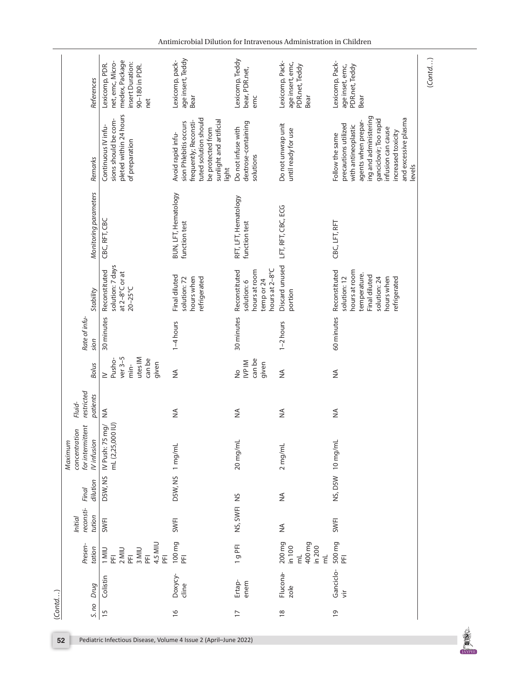| References                                                        | medex, Package<br>net, emc, Micro-<br>insert Duration:<br>Lexicomp, PDR.<br>90-180 in PDR.<br>net | age insert, Teddy<br>Lexicomp, pack-<br>Bear                                                                                                          | Lexicomp, Teddy<br>bear, PDR.net,<br>emc                                      | Lexicomp, Pack-<br>age insert, emc,<br>PDR.net, Teddy<br>Bear              | Lexicomp, Pack-<br>age inset, emc,<br>PDR.net, Teddy<br>Bear                                                                                                                                                           |
|-------------------------------------------------------------------|---------------------------------------------------------------------------------------------------|-------------------------------------------------------------------------------------------------------------------------------------------------------|-------------------------------------------------------------------------------|----------------------------------------------------------------------------|------------------------------------------------------------------------------------------------------------------------------------------------------------------------------------------------------------------------|
| Remarks                                                           | pleted within 24 hours<br>sions should be com-<br>Continuous IV infu-<br>of preparation           | tuted solution should<br>sunlight and artificial<br>frequently; Reconsti-<br>sion Phlebitis occurs<br>be protected from<br>Avoid rapid infu-<br>light | dextrose-containing<br>Do not infuse with<br>solutions                        | Do not unwrap unit<br>until ready for use                                  | ing and administering<br>and excessive plasma<br>ganciclovir; Too rapid<br>agents when prepar-<br>precautions utilized<br>with antineoplastic<br>infusion can cause<br>increased toxicity<br>Follow the same<br>levels |
| Monitoring parameters                                             | CBC, RFT, CBC                                                                                     | BUN, LFT, Hematology<br>function test                                                                                                                 | RFT, LFT, Hematology<br>function test                                         | LFT, RFT, CBC, ECG                                                         | CBC, LFT, RFT                                                                                                                                                                                                          |
| Stability                                                         | solution: 7 days<br>Reconstituted<br>at $2-8$ °C or at<br>$20 - 25^{\circ}$ C                     | Final diluted<br>hours when<br>solution: 72<br>refrigerated                                                                                           | hours at 2-8°C<br>Reconstituted<br>hours at room<br>temp or 24<br>solution: 6 | Discard unused<br>portion                                                  | Reconstituted<br>hours at room<br>temperature.<br>Final diluted<br>solution: 12<br>hours when<br>solution: 24<br>refrigerated                                                                                          |
| Rate of infu-<br>sion                                             | 30 minutes                                                                                        | $1-4$ hours                                                                                                                                           | 30 minutes                                                                    | $1-2$ hours                                                                | 60 minutes                                                                                                                                                                                                             |
| <b>Bolus</b>                                                      | $ver3-5$<br>utes IM<br>Pusho-<br>can be<br>given<br>min-<br>$\geq$                                | $\frac{1}{2}$                                                                                                                                         | can be<br>IVP IM<br>given<br>$\frac{1}{2}$                                    | $\frac{1}{2}$                                                              | ≨                                                                                                                                                                                                                      |
| restricted<br>patients<br>Fluid-                                  | $\frac{1}{2}$                                                                                     | $\frac{4}{2}$                                                                                                                                         | ≸                                                                             | ≸                                                                          | $\frac{4}{2}$                                                                                                                                                                                                          |
| for intermittent<br>concentration<br><b>IVinfusion</b><br>Maximum | IV Push: 75 mg/<br>mL (2,25,000 IU)<br>mL (2,25,000                                               |                                                                                                                                                       | 20 mg/mL                                                                      | 2 mg/mL                                                                    | NS, D5W 10 mg/mL                                                                                                                                                                                                       |
| dilution<br>Final                                                 | D5W, NS                                                                                           | D5W, NS 1 mg/mL                                                                                                                                       |                                                                               | $\frac{1}{2}$                                                              |                                                                                                                                                                                                                        |
| reconsti-<br>tution<br><b>Initial</b>                             | SWFI                                                                                              | <b>SWFI</b>                                                                                                                                           | NS, SWFINS                                                                    | ≸                                                                          | SWFI                                                                                                                                                                                                                   |
| Presen-<br>tation                                                 | 4.5 MIU<br>$2$ MIU<br>3 MIU<br>1 MIU<br>E<br>E<br>$\overline{E}$<br>E<br>E                        | 100 mg<br>푼                                                                                                                                           | 1g PFI                                                                        | 200 mg<br>400 mg<br>in 100<br>in 200<br>$\vec{E}$<br>$\overline{\epsilon}$ | 500 mg<br>E                                                                                                                                                                                                            |
| Drug                                                              | Colistin                                                                                          | Doxycy-<br>cline                                                                                                                                      | Ertap-<br>enem                                                                | Flucona-<br>zole                                                           | Ganciclo-<br>$\frac{1}{2}$                                                                                                                                                                                             |
| S. no                                                             | 15                                                                                                | $\frac{6}{2}$                                                                                                                                         | $\overline{17}$                                                               | $\frac{8}{10}$                                                             | $\overline{0}$                                                                                                                                                                                                         |

**DESCRIPTION**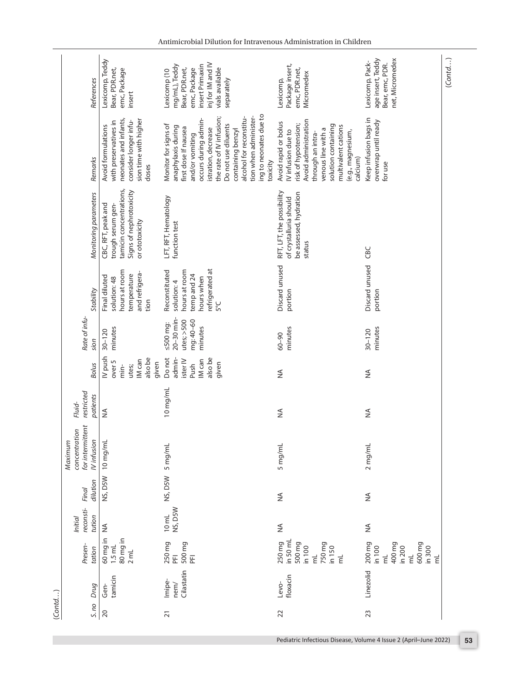|        |                                              | References            | Lexicomp, Teddy<br>Bear, PDR.net,<br>emc, Package<br>insert                                                                     | inj for IM and IV<br>insert Primaxin<br>mg/mL), Teddy<br>vials available<br>Bear, PDR.net,<br>emc, Package<br>Lexicomp (10<br>separately                                                                                                                                                               | Package insert,<br>emc, PDR.net,<br>Micromedex<br>Lexicomp,                                                                                                                                                          | age insert, Teddy<br>net, Micromedex<br>Lexicomp, Pack-<br>Bear, emc, PDR.                                              | (Contd) |
|--------|----------------------------------------------|-----------------------|---------------------------------------------------------------------------------------------------------------------------------|--------------------------------------------------------------------------------------------------------------------------------------------------------------------------------------------------------------------------------------------------------------------------------------------------------|----------------------------------------------------------------------------------------------------------------------------------------------------------------------------------------------------------------------|-------------------------------------------------------------------------------------------------------------------------|---------|
|        |                                              | Remarks               | neonates and infants,<br>sion time with higher<br>consider longer infu-<br>with preservatives in<br>Avoid formulations<br>doses | ing to neonates due to<br>tion when administer-<br>alcohol for reconstitu-<br>the rate of IV infusion;<br>occurs during admin-<br>Do not use diluents<br>Monitor for signs of<br>anaphylaxis during<br>first dose If nausea<br>istration, decrease<br>containing benzyl<br>and/or vomiting<br>toxicity | Avoid administration<br>Avoid rapid or bolus<br>risk of hypotension;<br>solution containing<br>multivalent cations<br>venous line with a<br>IV infusion due to<br>(e.g., magnesium,<br>through an intra-<br>calcium) | Keep infusion bags in<br>overwrap until ready<br>for use                                                                |         |
|        |                                              | Monitoring parameters | tamicin concentrations,<br>Signs of nephrotoxicity<br>CBC, RFT, peak and<br>trough serum gen-<br>or ototoxicity                 | LFT, RFT, Hematology<br>function test                                                                                                                                                                                                                                                                  | RFT, LFT, the possibility<br>be assessed, hydration<br>of crystalluria should<br>status                                                                                                                              | CBC                                                                                                                     |         |
|        |                                              | Stability             | hours at room<br>and refrigera-<br>temperature<br>Final diluted<br>solution: 48<br>tion                                         | refrigerated at<br>hours at room<br>Reconstituted<br>temp and 24<br>hours when<br>solution: 4<br>Ρ°C                                                                                                                                                                                                   | Discard unused<br>portion                                                                                                                                                                                            | Discard unused<br>portion                                                                                               |         |
|        | Rate of infu-                                | sion                  | minutes<br>$30 - 120$                                                                                                           | 20-30 min-<br>utes; >500<br>mg: 40-60<br>$\leq 500$ mg:<br>minutes                                                                                                                                                                                                                                     | minutes<br>$06 - 00$                                                                                                                                                                                                 | minutes<br>$30 - 120$                                                                                                   |         |
|        |                                              | <b>Bolus</b>          | IV push<br>also be<br>IM can<br>over <sub>5</sub><br>given<br>utes;<br>min-                                                     | Do not<br>admin-<br>also be<br>IM can<br>ister IV<br>Push<br>given                                                                                                                                                                                                                                     | $\frac{4}{2}$                                                                                                                                                                                                        | ≨                                                                                                                       |         |
|        | restricted<br>Fluid-                         | patients              | $\frac{4}{2}$                                                                                                                   | 10 mg/mL                                                                                                                                                                                                                                                                                               | ≸                                                                                                                                                                                                                    | ≨                                                                                                                       |         |
|        | for intermittent<br>concentration<br>Maximum | <b>IVinfusion</b>     | $10$ mg/mL                                                                                                                      | 5 mg/mL                                                                                                                                                                                                                                                                                                | 5 mg/mL                                                                                                                                                                                                              | 2 mg/mL                                                                                                                 |         |
|        | Final                                        | dilution              | NS, D5W                                                                                                                         | NS, DSW                                                                                                                                                                                                                                                                                                | ≨                                                                                                                                                                                                                    | ≨                                                                                                                       |         |
|        | reconsti-<br><b>Initial</b>                  | tution                |                                                                                                                                 | NS, D5W<br>$10 \text{ mL}$                                                                                                                                                                                                                                                                             | $\frac{1}{2}$                                                                                                                                                                                                        | ≨                                                                                                                       |         |
|        | Presen-                                      | tation                | 60 mg in NA<br>ni bu 08<br>$1.5$ mL<br>$2$ mL                                                                                   | 250 mg<br>PFI<br>500 mg<br>$\overline{\underline{\mathbb{E}}}$                                                                                                                                                                                                                                         | in 50 ml<br>250 mg<br>500 mg<br>750 mg<br>in 100<br>in 150<br>$\overline{\epsilon}$<br>$\overline{\epsilon}$                                                                                                         | 200 mg<br>400 mg<br>600 mg<br>in 100<br>in 200<br>in 300<br>$\vec{E}$<br>$\overline{\epsilon}$<br>$\overline{\epsilon}$ |         |
|        |                                              | Drug                  | tamicin<br>Gen-                                                                                                                 | Cilastatin<br>Imipe-<br>nem/                                                                                                                                                                                                                                                                           | floxacin<br>Levo-                                                                                                                                                                                                    | Linezolid                                                                                                               |         |
| (Cond) |                                              | 5. no                 | 20                                                                                                                              | $\overline{21}$                                                                                                                                                                                                                                                                                        | 22                                                                                                                                                                                                                   | 23                                                                                                                      |         |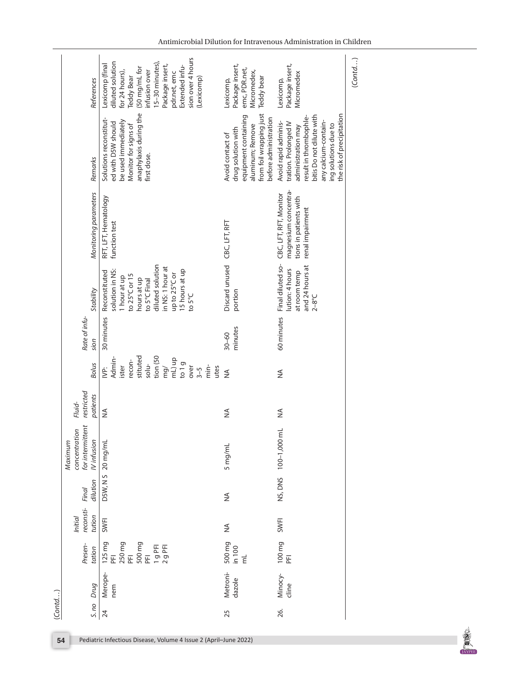| References                                                        | sion over 4 hours<br>diluted solution<br>15-30 minutes),<br>Lexicomp (final<br>Package insert,<br>Extended infu-<br>(50 mg/mL for<br>infusion over<br>for 24 hours),<br>pdr.net, emc<br>Teddy Bear<br>(Lexicomp) | Package insert,<br>emc, PDR.net,<br>Micromedex,<br>Teddy bear<br>Lexicomp,                                                             | Package insert,<br>Micromedex<br>Lexicomp,                                                                                                                                                             | (Cond) |
|-------------------------------------------------------------------|------------------------------------------------------------------------------------------------------------------------------------------------------------------------------------------------------------------|----------------------------------------------------------------------------------------------------------------------------------------|--------------------------------------------------------------------------------------------------------------------------------------------------------------------------------------------------------|--------|
| Remarks                                                           | anaphylaxis during the<br>Solutions reconstitut-<br>be used immediately<br>ed with D5W should<br>Monitor for signs of<br>first dose.                                                                             | from foil wrapping just<br>equipment containing<br>before administration<br>aluminum; Remove<br>drug solution with<br>Avoid contact of | the risk of precipitation<br>bitis Do not dilute with<br>result in thrombophle-<br>any calcium-contain-<br>Avoid rapid adminis-<br>tration. Prolonged IV<br>ing solutions due to<br>administration may |        |
| Monitoring parameters                                             | RFT, LFT, Hematology<br>function test                                                                                                                                                                            |                                                                                                                                        | magnesium concentra-<br>CBC, LFT, RFT, Monitor<br>tions in patients with<br>renal impairment                                                                                                           |        |
| Stability                                                         | diluted solution<br>in NS: 1 hour at<br>solution in NS:<br>15 hours at up<br>Reconstituted<br>up to 25°C or<br>to 25°C or 15<br>1 hour at up<br>hours at up<br>to 5°C Final<br>to $5^{\circ}$ C                  | Discard unused CBC, LFT, RFT<br>portion                                                                                                | Final diluted so-<br>and 24 hours at<br>lution: 4 hours<br>at room temp<br>$2-8^{\circ}C$                                                                                                              |        |
| Rate of infu-<br>sion                                             | 30 minutes                                                                                                                                                                                                       | minutes<br>$30 - 60$                                                                                                                   | 60 minutes                                                                                                                                                                                             |        |
| <b>Bolus</b>                                                      | tion (50<br>stituted<br>Admin-<br>qu(Jm<br>recon-<br>$s$ olu-<br>to 1 $g$<br>ister<br>$\frac{1}{2}$<br>over<br>mg/<br>utes<br>ġ.<br>$3 - 5$                                                                      | $\frac{1}{2}$                                                                                                                          | ≸                                                                                                                                                                                                      |        |
| restricted<br>patients<br>Fluid-                                  | $\frac{4}{2}$                                                                                                                                                                                                    | ≸                                                                                                                                      | ≨                                                                                                                                                                                                      |        |
| for intermittent<br>concentration<br><b>IVinfusion</b><br>Maximum | D5W, N S 20 mg/mL                                                                                                                                                                                                | 5 mg/mL                                                                                                                                | NS, DNS 100-1,000 mL                                                                                                                                                                                   |        |
| dilution<br>Final                                                 |                                                                                                                                                                                                                  | ≸                                                                                                                                      |                                                                                                                                                                                                        |        |
| reconsti-<br>tution<br>Initial                                    | <b>SWFI</b>                                                                                                                                                                                                      | ≸                                                                                                                                      | SWFI                                                                                                                                                                                                   |        |
| Presen-<br>tation                                                 | 125 mg<br>PFI<br>250 mg<br>500 mg<br>PFI<br>1 g PFI<br>2 g PFI                                                                                                                                                   | 500 mg<br>in 100<br>mL                                                                                                                 | 100 mg<br>PFI                                                                                                                                                                                          |        |
| S. no Drug                                                        | Merope-<br>nem                                                                                                                                                                                                   | Metroni-<br>dazole                                                                                                                     | Minocy-<br>cline                                                                                                                                                                                       |        |
| (Cond)                                                            | 24                                                                                                                                                                                                               | 25                                                                                                                                     | 26.                                                                                                                                                                                                    |        |

**DESCRIPTION**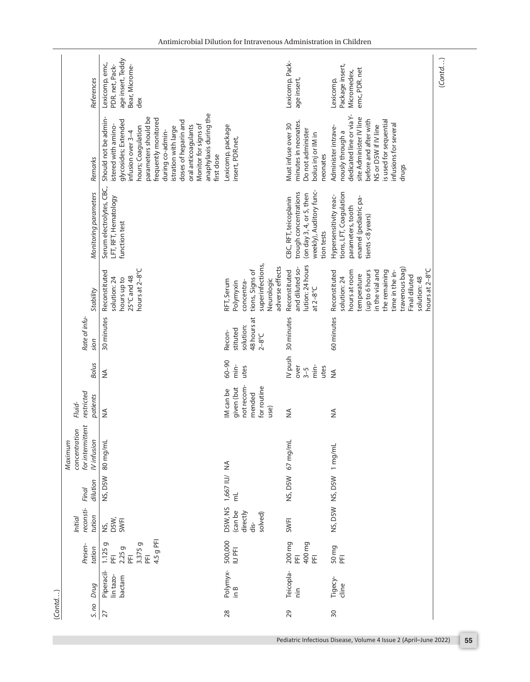|        |                                                                    | age insert, Teddy<br>Lexicomp, emc,                                                                                                                                                                                                                                                                                       |                                                                                                               | Lexicomp, Pack-                                                                                                     | Package insert,                                                                                                                                                                                             | (Cond) |
|--------|--------------------------------------------------------------------|---------------------------------------------------------------------------------------------------------------------------------------------------------------------------------------------------------------------------------------------------------------------------------------------------------------------------|---------------------------------------------------------------------------------------------------------------|---------------------------------------------------------------------------------------------------------------------|-------------------------------------------------------------------------------------------------------------------------------------------------------------------------------------------------------------|--------|
|        | References                                                         | PDR. net, Pack-<br>Bear, Microme-<br>dex                                                                                                                                                                                                                                                                                  |                                                                                                               | age insert,                                                                                                         | emc, PDR. net<br>Micromedex,<br>Lexicomp,                                                                                                                                                                   |        |
|        | Remarks                                                            | anaphylaxis during the<br>parameters should be<br>Should not be admin-<br>frequently monitored<br>doses of heparin and<br>glycosides; Extended<br>istered with amino-<br>Monitor for signs of<br>oral anticoagulants<br>istration with large<br>hours; Coagulation<br>infusion over 3-4<br>during co-admin-<br>first dose | Lexicomp, package<br>insert, PDR.net,                                                                         | minutes in neonates.<br>Must infuse over 30<br>Do not administer<br>bolus inj or IM in<br>reonates                  | dedicated line or via Y-<br>site Administer IV line<br>is used for sequential<br>before and after with<br>infusions for several<br>NS or D5W if IV line<br>Administer intrave-<br>nously through a<br>drugs |        |
|        | Monitoring parameters                                              | Serum electrolytes, CBC,<br>LFT, RFT, Hematology<br>function test                                                                                                                                                                                                                                                         |                                                                                                               | weekly), Auditory func-<br>trough concentrations<br>(on day 3, 4, or 5, then<br>CBC, RFT, teicoplanin<br>tion tests | tions, LFT, Coagulation<br>Hypersensitivity reac-<br>enamel (pediatric pa-<br>parameters, tooth<br>tients <8 years)                                                                                         |        |
|        | Stability                                                          | hours at 2-8°C<br>Reconstituted<br>$25^{\circ}$ C and 48<br>solution: 24<br>hours up to                                                                                                                                                                                                                                   | superinfections,<br>adverse effects<br>tions, Signs of<br>Neurologic<br>RFT, Serum<br>concentra-<br>Polymyxin | lution: 24 hours<br>and diluted so-<br>Reconstituted<br>at $2-8$ °C                                                 | travenous bag)<br>hours at 2-8°C<br>the remaining<br>time in the in-<br>Reconstituted<br>hours at room<br>(up to 6 hours<br>in the vial and<br>temperature<br>Final diluted<br>solution: 24<br>solution: 48 |        |
|        | Rate of infu-<br>ajon                                              | 30 minutes                                                                                                                                                                                                                                                                                                                | 48 hours at<br>solution:<br>stituted<br>Recon-<br>$2-8^{\circ}C$                                              | IV push 30 minutes                                                                                                  | 60 minutes                                                                                                                                                                                                  |        |
|        | <b>Bolus</b>                                                       | $\frac{4}{2}$                                                                                                                                                                                                                                                                                                             | $60 - 90$<br>min-<br>utes                                                                                     | min-<br>over<br>utes<br>$3 - 5$                                                                                     | $\frac{4}{2}$                                                                                                                                                                                               |        |
|        | restricted<br>patients<br>Fluid-                                   | $\stackrel{\triangle}{\geq}$                                                                                                                                                                                                                                                                                              | not recom-<br>for routine<br>given (but<br>IM can be<br>mended<br>(esn                                        | ≨                                                                                                                   | ≸                                                                                                                                                                                                           |        |
|        | for intermittent<br>concentration<br><b>IV</b> infusion<br>Maximum | 80 mg/mL                                                                                                                                                                                                                                                                                                                  |                                                                                                               | NS, D5W 67 mg/mL                                                                                                    | NS, D5W NS, D5W 1 mg/mL                                                                                                                                                                                     |        |
|        | dilution<br>Final                                                  | NS, D5W                                                                                                                                                                                                                                                                                                                   | 1,667 IU/ NA<br>ξ                                                                                             |                                                                                                                     |                                                                                                                                                                                                             |        |
|        | reconsti-<br>tution<br>Initial                                     | NS,<br>DSW,<br>SWFI                                                                                                                                                                                                                                                                                                       | D5W, NS<br>(can be<br>directly<br>solved)<br>dis-                                                             | <b>SWFI</b>                                                                                                         |                                                                                                                                                                                                             |        |
|        | Presen-<br>tation                                                  | 4.5 g PFI<br>3.375 g<br>1.125g<br>2.25g<br>$\overline{E}$<br>푼<br>E                                                                                                                                                                                                                                                       | 500,000<br>IU PFI                                                                                             | 200 mg<br>400 mg<br>E<br>푼                                                                                          | 50 mg<br>PFI                                                                                                                                                                                                |        |
|        | Drug                                                               | Piperacil-<br>lin tazo-<br>bactam                                                                                                                                                                                                                                                                                         | Polymyx-<br>$\frac{8}{10}$                                                                                    | Teicopla-<br>$\frac{1}{2}$                                                                                          | Tigecy-<br>cline                                                                                                                                                                                            |        |
| (Cond) | S. no                                                              | 27                                                                                                                                                                                                                                                                                                                        | 28                                                                                                            | 29                                                                                                                  | $\overline{30}$                                                                                                                                                                                             |        |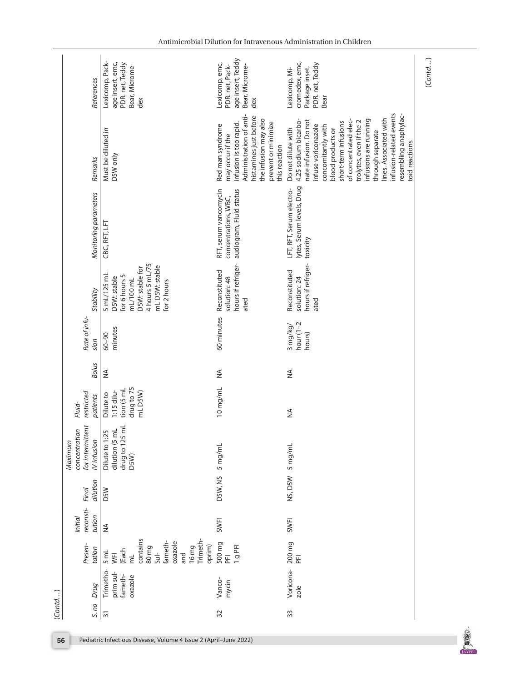|          |                                             | References            | Lexicomp, Pack-<br>age insert, emc,<br>PDR. net, Teddy<br>Bear, Microme-<br>dex                                                                   | age insert, Teddy<br>Lexicomp, emc,<br>PDR. net, Pack-<br>Bear, Microme-<br>dex                                                                                                      | cromedex, emc,<br>PDR. net, Teddy<br>Package inset,<br>Lexicomp, Mi-<br>Bear                                                                                                                                                                                                                                                                                   | (Cond) |
|----------|---------------------------------------------|-----------------------|---------------------------------------------------------------------------------------------------------------------------------------------------|--------------------------------------------------------------------------------------------------------------------------------------------------------------------------------------|----------------------------------------------------------------------------------------------------------------------------------------------------------------------------------------------------------------------------------------------------------------------------------------------------------------------------------------------------------------|--------|
|          |                                             | Remarks               | Must be diluted in<br>D5W only                                                                                                                    | Administration of anti-<br>histamines just before<br>the infusion may also<br>infusion is too rapid.<br>prevent or minimize<br>Red man syndrome<br>may occur if the<br>this reaction | infusion-related events<br>resembling anaphylac-<br>lines. Associated with<br>of concentrated elec-<br>infusions are running<br>4.25 sodium bicarbo-<br>nate infusion. Do not<br>trolytes, even if the 2<br>short-term infusions<br>infuse voriconazole<br>concomitantly with<br>Do not dilute with<br>blood products or<br>through separate<br>toid reactions |        |
|          |                                             | Monitoring parameters | CBC, RFT, LFT                                                                                                                                     | RFT, serum vancomycin<br>audiogram, Fluid status<br>concentrations, WBC,                                                                                                             | lytes, Serum levels, Drug<br>LFT, RFT, Serum electro-<br>toxicity                                                                                                                                                                                                                                                                                              |        |
|          |                                             | Stability             | 4 hours 5 mL/75<br>mL D5W: stable<br>D5W: stable for<br>$5$ mL/125 mL<br>for 6 hours 5<br>D5W: stable<br>mL/100 mL<br>for 2 hours                 | hours if refriger-<br>Reconstituted<br>solution: 48<br>ated                                                                                                                          | hours if refriger-<br>Reconstituted<br>solution: 24<br>ated                                                                                                                                                                                                                                                                                                    |        |
|          | Rate of infu-                               | sion                  | minutes<br>$06 - 00$                                                                                                                              | 60 minutes                                                                                                                                                                           | hour $(1-2)$<br>3 mg/kg/<br>hours)                                                                                                                                                                                                                                                                                                                             |        |
|          |                                             | <b>Bolus</b>          | ≨                                                                                                                                                 | ≸                                                                                                                                                                                    | $\frac{1}{2}$                                                                                                                                                                                                                                                                                                                                                  |        |
|          | restricted<br>Fluid-                        | patients              | drug to 75<br>tion (5 mL<br>1:15 dilu-<br>mLD5W)<br>Dilute to                                                                                     | 10 mg/mL                                                                                                                                                                             | $\frac{4}{2}$                                                                                                                                                                                                                                                                                                                                                  |        |
|          | concentration<br>for intermitten<br>Maximum | <b>IVinfusion</b>     | drug to 125 mL<br>dilution (5 mL<br>Dilute to 1:25<br>D5W)                                                                                        | 5 mg/mL                                                                                                                                                                              | NS, D5W 5 mg/mL                                                                                                                                                                                                                                                                                                                                                |        |
|          | Final                                       | dilution              | <b>D5W</b>                                                                                                                                        | D5W, NS                                                                                                                                                                              |                                                                                                                                                                                                                                                                                                                                                                |        |
|          | reconsti-<br><i>Initial</i>                 | tution                | $\lessapprox$                                                                                                                                     | <b>SWFI</b>                                                                                                                                                                          | <b>SWFI</b>                                                                                                                                                                                                                                                                                                                                                    |        |
|          | Presen-                                     | tation                | contains<br>Trimeth-<br>fameth-<br>oxazole<br>oprim)<br>80 mg<br>16 <sub>mg</sub><br>(Each<br>$Sul-$<br>5 <sub>m</sub><br>and<br>WFI<br>$\vec{E}$ | 500 mg<br>1g PFI<br>E                                                                                                                                                                | 200 mg<br>$\overline{\mathbb{E}}$                                                                                                                                                                                                                                                                                                                              |        |
|          |                                             | Drug                  | Trimetho-<br>prim sul-<br>fameth-<br>oxazole                                                                                                      | Vanco-<br>mycin                                                                                                                                                                      | Voricona-<br>$z$ ole                                                                                                                                                                                                                                                                                                                                           |        |
| (Cont d) |                                             | S. no                 | $\overline{31}$                                                                                                                                   | 32                                                                                                                                                                                   | 33                                                                                                                                                                                                                                                                                                                                                             |        |
| 56       |                                             |                       | Pediatric Infectious Disease, Volume 4 Issue 2 (April-June 2022)                                                                                  |                                                                                                                                                                                      |                                                                                                                                                                                                                                                                                                                                                                |        |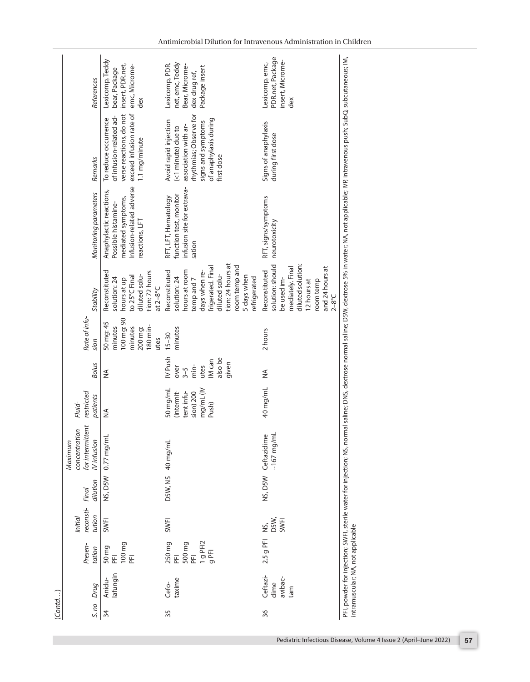| (Cond) |                                    |                                                    |                                       |                   |                                                                       |                                                                         |                                                                          |                                                                              |                                                                                                                                                                                         |                                                                                                                                                                                                            |                                                                                                                                                           |                                                                                        |
|--------|------------------------------------|----------------------------------------------------|---------------------------------------|-------------------|-----------------------------------------------------------------------|-------------------------------------------------------------------------|--------------------------------------------------------------------------|------------------------------------------------------------------------------|-----------------------------------------------------------------------------------------------------------------------------------------------------------------------------------------|------------------------------------------------------------------------------------------------------------------------------------------------------------------------------------------------------------|-----------------------------------------------------------------------------------------------------------------------------------------------------------|----------------------------------------------------------------------------------------|
| S. no  | Drug                               | Presen-<br>tation                                  | reconsti-<br>tution<br><b>Initial</b> | dilution<br>Final | ż<br>concentration<br>for intermitter<br><b>IVinfusion</b><br>Maximum | restricted<br>patients<br>Fluid-                                        | <b>Bolus</b>                                                             | Rate of infu-<br>sion                                                        | Stability                                                                                                                                                                               | Monitoring parameters                                                                                                                                                                                      | Remarks                                                                                                                                                   | References                                                                             |
| 34     | lafungin<br>Anidu-                 | 100 mg<br>50 mg<br>PFI<br>E                        | <b>SWFI</b>                           |                   | NS, D5W 0.77 mg/mL                                                    | $\frac{4}{2}$                                                           | $\frac{1}{2}$                                                            | 100 mg: 90<br>50 mg: 45<br>180 min-<br>minutes<br>minutes<br>200 mg:<br>utes | Reconstituted<br>tion: 72 hours<br>diluted solu-<br>to 25°C Final<br>solution: 24<br>hours at up<br>at $2-8$ °C                                                                         | Infusion-related adverse<br>Anaphylactic reactions,<br>mediated symptoms,<br>Possible histamine-<br>reactions, LFT                                                                                         | verse reactions, do not<br>exceed infusion rate of<br>of infusion-related ad-<br>To reduce occurrence<br>1.1 mg/minute                                    | Lexicomp, Teddy<br>insert, PDR.net,<br>emc, Microme-<br>bear, Package<br>dex           |
| 35     | taxime<br>Cefo-                    | 250 mg<br>PFI<br>1g PFI2<br>500 mg<br>$9$ PFI<br>E | SWFI                                  |                   | D5W, NS 40 mg/mL                                                      | 50 mg/mL<br>mg/mL (IV<br>(intermit-<br>tent infu-<br>sion) 200<br>Push) | IV Push<br>also be<br>IM can<br>given<br>min-<br>utes<br>over<br>$3 - 5$ | minutes<br>$15 - 30$                                                         | tion: 24 hours at<br>oom temp and<br>frigerated. Final<br>Reconstituted<br>hours at room<br>days when re-<br>diluted solu-<br>5 days when<br>solution: 24<br>refrigerated<br>temp and 7 | infusion site for extrava-<br>function test, monitor<br>RFT, LFT, Hematology<br>sation                                                                                                                     | thythmias; Observe for<br>of anaphylaxis during<br>Avoid rapid injection<br>signs and symptoms<br>association with ar-<br><1 minute) due to<br>first dose | net, emc, Teddy<br>Lexicomp, PDR.<br>Bear, Microme-<br>Package insert<br>dex drug ref, |
| 36     | Ceftazi-<br>avibac-<br>dime<br>med | 2.5 g PFI                                          | DSW,<br>SWFI<br>Š,                    |                   | $-167$ mg/mL<br>NS, D5W Ceftazidime                                   | 40 mg/mL                                                                | ≨                                                                        | 2 hours                                                                      | solution: should<br>diluted solution:<br>mediately. Final<br>and 24 hours at<br>Reconstituted<br>be used im-<br>room temp<br>12 hours at<br>$2-8^{\circ}C$                              | RFT, signs/symptoms<br>neurotoxicity                                                                                                                                                                       | Signs of anaphylaxis<br>during first dose                                                                                                                 | PDR.net, Package<br>insert, Microme-<br>Lexicomp, emc,<br>dex                          |
|        | intramuscular; NA, not applicable  |                                                    |                                       |                   |                                                                       |                                                                         |                                                                          |                                                                              |                                                                                                                                                                                         | PFI, powder for injection; SWFI, sterile water for injection; NS, normal saline; DNS, dextrose normal saline; DSW, dextrose 5% in water; NA, not applicable; NP, intravenous push; SubQ, subcutaneous; IM, |                                                                                                                                                           |                                                                                        |

Antimicrobial Dilution for Intravenous Administration in Children

<span id="page-10-0"></span>Pediatric Infectious Disease, Volume 4 Issue 2 (April–June 2022) **57**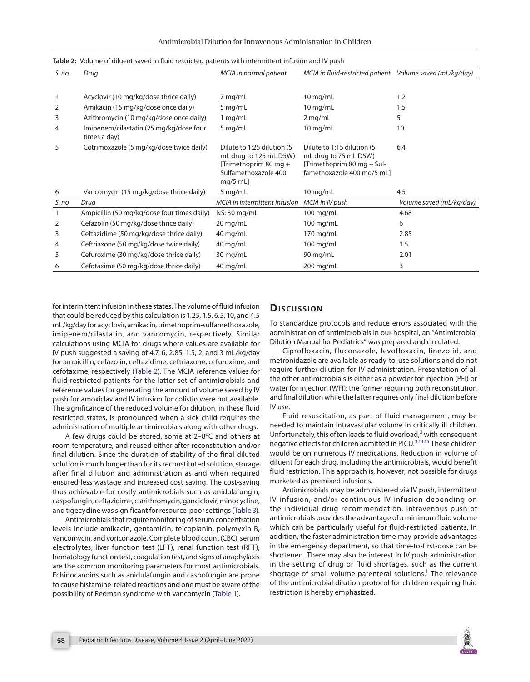| S. no. | Drug                                                    | MCIA in normal patient                                                                                               | MCIA in fluid-restricted patient Volume saved (mL/kg/day)                                                        |                          |
|--------|---------------------------------------------------------|----------------------------------------------------------------------------------------------------------------------|------------------------------------------------------------------------------------------------------------------|--------------------------|
|        |                                                         |                                                                                                                      |                                                                                                                  |                          |
| 1      | Acyclovir (10 mg/kg/dose thrice daily)                  | 7 mg/mL                                                                                                              | $10$ mg/mL                                                                                                       | 1.2                      |
| 2      | Amikacin (15 mg/kg/dose once daily)                     | $5 \,\mathrm{mg/mL}$                                                                                                 | $10$ mg/mL                                                                                                       | 1.5                      |
| 3      | Azithromycin (10 mg/kg/dose once daily)                 | $1$ mg/mL                                                                                                            | $2$ mg/mL                                                                                                        | 5                        |
| 4      | Imipenem/cilastatin (25 mg/kg/dose four<br>times a day) | 5 mg/mL                                                                                                              | $10$ mg/mL                                                                                                       | 10                       |
| 5      | Cotrimoxazole (5 mg/kg/dose twice daily)                | Dilute to 1:25 dilution (5)<br>mL drug to 125 mL D5W)<br>[Trimethoprim 80 mg +<br>Sulfamethoxazole 400<br>$mq/5$ mL] | Dilute to 1:15 dilution (5)<br>mL drug to 75 mL D5W)<br>[Trimethoprim 80 mg + Sul-<br>famethoxazole 400 mg/5 mL] | 6.4                      |
| 6      | Vancomycin (15 mg/kg/dose thrice daily)                 | $5$ mg/mL                                                                                                            | $10$ mg/mL                                                                                                       | 4.5                      |
| S. no  | Drug                                                    | MCIA in intermittent infusion                                                                                        | MCIA in IV push                                                                                                  | Volume saved (mL/kg/day) |
| 1      | Ampicillin (50 mg/kg/dose four times daily)             | NS: 30 mg/mL                                                                                                         | 100 mg/mL                                                                                                        | 4.68                     |
| 2      | Cefazolin (50 mg/kg/dose thrice daily)                  | 20 mg/mL                                                                                                             | $100$ mg/mL                                                                                                      | 6                        |
| 3      | Ceftazidime (50 mg/kg/dose thrice daily)                | $40$ mg/mL                                                                                                           | 170 mg/mL                                                                                                        | 2.85                     |
| 4      | Ceftriaxone (50 mg/kg/dose twice daily)                 | $40$ mg/mL                                                                                                           | $100$ mg/mL                                                                                                      | 1.5                      |
| 5      | Cefuroxime (30 mg/kg/dose thrice daily)                 | 30 mg/mL                                                                                                             | 90 mg/mL                                                                                                         | 2.01                     |
| 6      | Cefotaxime (50 mg/kg/dose thrice daily)                 | 40 mg/mL                                                                                                             | 200 mg/mL                                                                                                        | 3                        |

<span id="page-11-0"></span>

for intermittent infusion in these states. The volume of fluid infusion that could be reduced by this calculation is 1.25, 1.5, 6.5, 10, and 4.5 mL/kg/day for acyclovir, amikacin, trimethoprim-sulfamethoxazole, imipenem/cilastatin, and vancomycin, respectively. Similar calculations using MCIA for drugs where values are available for IV push suggested a saving of 4.7, 6, 2.85, 1.5, 2, and 3 mL/kg/day for ampicillin, cefazolin, ceftazidime, ceftriaxone, cefuroxime, and cefotaxime, respectively ([Table 2](#page-11-0)). The MCIA reference values for fluid restricted patients for the latter set of antimicrobials and reference values for generating the amount of volume saved by IV push for amoxiclav and IV infusion for colistin were not available. The significance of the reduced volume for dilution, in these fluid restricted states, is pronounced when a sick child requires the administration of multiple antimicrobials along with other drugs.

A few drugs could be stored, some at 2–8°C and others at room temperature, and reused either after reconstitution and/or final dilution. Since the duration of stability of the final diluted solution is much longer than for its reconstituted solution, storage after final dilution and administration as and when required ensured less wastage and increased cost saving. The cost-saving thus achievable for costly antimicrobials such as anidulafungin, caspofungin, ceftazidime, clarithromycin, ganciclovir, minocycline, and tigecycline was significant for resource-poor settings [\(Table 3](#page-13-4)).

Antimicrobials that require monitoring of serum concentration levels include amikacin, gentamicin, teicoplanin, polymyxin B, vancomycin, and voriconazole. Complete blood count (CBC), serum electrolytes, liver function test (LFT), renal function test (RFT), hematology function test, coagulation test, and signs of anaphylaxis are the common monitoring parameters for most antimicrobials. Echinocandins such as anidulafungin and caspofungin are prone to cause histamine-related reactions and one must be aware of the possibility of Redman syndrome with vancomycin ([Table 1](#page-10-0)).

#### **Discussion**

To standardize protocols and reduce errors associated with the administration of antimicrobials in our hospital, an "Antimicrobial Dilution Manual for Pediatrics" was prepared and circulated.

<span id="page-11-1"></span>Ciprofloxacin, fluconazole, levofloxacin, linezolid, and metronidazole are available as ready-to-use solutions and do not require further dilution for IV administration. Presentation of all the other antimicrobials is either as a powder for injection (PFI) or water for injection (WFI); the former requiring both reconstitution and final dilution while the latter requires only final dilution before IV use.

Fluid resuscitation, as part of fluid management, may be needed to maintain intravascular volume in critically ill children. Unfortunately, this often leads to fluid overload, $3$  with consequent negative effects for children admitted in PICU.[3](#page-13-2)[,14](#page-14-6)[,15](#page-14-7) These children would be on numerous IV medications. Reduction in volume of diluent for each drug, including the antimicrobials, would benefit fluid restriction. This approach is, however, not possible for drugs marketed as premixed infusions.

Antimicrobials may be administered via IV push, intermittent IV infusion, and/or continuous IV infusion depending on the individual drug recommendation. Intravenous push of antimicrobials provides the advantage of a minimum fluid volume which can be particularly useful for fluid-restricted patients. In addition, the faster administration time may provide advantages in the emergency department, so that time-to-first-dose can be shortened. There may also be interest in IV push administration in the setting of drug or fluid shortages, such as the current shortage of small-volume parenteral solutions.<sup>1</sup> The relevance of the antimicrobial dilution protocol for children requiring fluid restriction is hereby emphasized.

<span id="page-11-4"></span><span id="page-11-3"></span><span id="page-11-2"></span>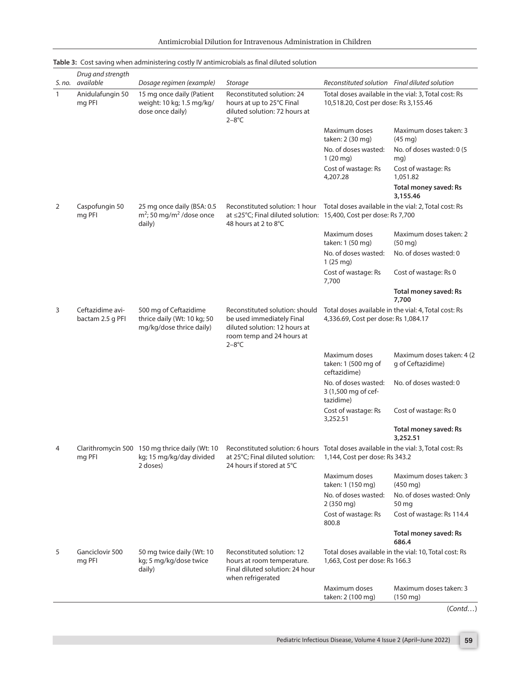| Antimicrobial Dilution for Intravenous Administration in Children |
|-------------------------------------------------------------------|
|-------------------------------------------------------------------|

|              | Drug and strength<br>S. no. available | Dosage regimen (example)                                                               | <b>Storage</b>                                                                                                                        | Reconstituted solution Final diluted solution                                                                          |                                                                    |
|--------------|---------------------------------------|----------------------------------------------------------------------------------------|---------------------------------------------------------------------------------------------------------------------------------------|------------------------------------------------------------------------------------------------------------------------|--------------------------------------------------------------------|
| $\mathbf{1}$ | Anidulafungin 50<br>mg PFI            | 15 mg once daily (Patient<br>weight: 10 kg; 1.5 mg/kg/<br>dose once daily)             | Reconstituted solution: 24<br>hours at up to 25°C Final<br>diluted solution: 72 hours at<br>$2-8$ °C                                  | Total doses available in the vial: 3, Total cost: Rs<br>10,518.20, Cost per dose: Rs 3,155.46                          |                                                                    |
|              |                                       |                                                                                        |                                                                                                                                       | Maximum doses<br>taken: 2 (30 mg)                                                                                      | Maximum doses taken: 3<br>$(45 \text{ mg})$                        |
|              |                                       |                                                                                        |                                                                                                                                       | No. of doses wasted:<br>$1(20 \text{ mg})$                                                                             | No. of doses wasted: 0 (5)<br>mq)                                  |
|              |                                       |                                                                                        |                                                                                                                                       | Cost of wastage: Rs<br>4,207.28                                                                                        | Cost of wastage: Rs<br>1.051.82                                    |
|              |                                       |                                                                                        |                                                                                                                                       |                                                                                                                        | Total money saved: Rs<br>3,155.46                                  |
| 2            | Caspofungin 50<br>mg PFI              | 25 mg once daily (BSA: 0.5<br>$m^2$ ; 50 mg/m <sup>2</sup> /dose once<br>daily)        | Reconstituted solution: 1 hour<br>at ≤25°C; Final diluted solution: 15,400, Cost per dose: Rs 7,700<br>48 hours at 2 to 8°C           | Total doses available in the vial: 2, Total cost: Rs                                                                   |                                                                    |
|              |                                       |                                                                                        |                                                                                                                                       | Maximum doses<br>taken: 1 (50 mg)                                                                                      | Maximum doses taken: 2<br>$(50 \text{ mg})$                        |
|              |                                       |                                                                                        |                                                                                                                                       | No. of doses wasted:<br>1(25mg)                                                                                        | No. of doses wasted: 0                                             |
|              |                                       |                                                                                        |                                                                                                                                       | Cost of wastage: Rs<br>7,700                                                                                           | Cost of wastage: Rs 0                                              |
|              |                                       |                                                                                        |                                                                                                                                       |                                                                                                                        | Total money saved: Rs<br>7.700                                     |
| 3            | Ceftazidime avi-<br>bactam 2.5 g PFI  | 500 mg of Ceftazidime<br>thrice daily (Wt: 10 kg; 50<br>mg/kg/dose thrice daily)       | Reconstituted solution: should<br>be used immediately Final<br>diluted solution: 12 hours at<br>room temp and 24 hours at<br>$2-8$ °C | Total doses available in the vial: 4, Total cost: Rs<br>4,336.69, Cost per dose: Rs 1,084.17                           |                                                                    |
|              |                                       |                                                                                        |                                                                                                                                       | Maximum doses<br>taken: 1 (500 mg of<br>ceftazidime)                                                                   | Maximum doses taken: 4 (2)<br>g of Ceftazidime)                    |
|              |                                       |                                                                                        |                                                                                                                                       | No. of doses wasted:<br>3 (1,500 mg of cef-<br>tazidime)                                                               | No. of doses wasted: 0                                             |
|              |                                       |                                                                                        |                                                                                                                                       | Cost of wastage: Rs<br>3,252.51                                                                                        | Cost of wastage: Rs 0                                              |
|              |                                       |                                                                                        |                                                                                                                                       |                                                                                                                        | Total money saved: Rs<br>3,252.51                                  |
|              | mg PFI                                | Clarithromycin 500 150 mg thrice daily (Wt: 10<br>kg; 15 mg/kg/day divided<br>2 doses) | at 25°C; Final diluted solution:<br>24 hours if stored at 5°C                                                                         | Reconstituted solution: 6 hours Total doses available in the vial: 3, Total cost: Rs<br>1,144, Cost per dose: Rs 343.2 |                                                                    |
|              |                                       |                                                                                        |                                                                                                                                       | Maximum doses<br>taken: 1 (150 mg)                                                                                     | Maximum doses taken: 3<br>$(450 \text{ mg})$                       |
|              |                                       |                                                                                        |                                                                                                                                       | No. of doses wasted:<br>$2(350 \text{ mg})$                                                                            | No. of doses wasted: Only<br>50 mg                                 |
|              |                                       |                                                                                        |                                                                                                                                       | Cost of wastage: Rs<br>800.8                                                                                           | Cost of wastage: Rs 114.4                                          |
|              |                                       |                                                                                        |                                                                                                                                       |                                                                                                                        | Total money saved: Rs<br>686.4                                     |
| 5            | Ganciclovir 500<br>mg PFI             | 50 mg twice daily (Wt: 10<br>kg; 5 mg/kg/dose twice<br>daily)                          | Reconstituted solution: 12<br>hours at room temperature.<br>Final diluted solution: 24 hour<br>when refrigerated                      | Total doses available in the vial: 10, Total cost: Rs<br>1,663, Cost per dose: Rs 166.3                                |                                                                    |
|              |                                       |                                                                                        |                                                                                                                                       | Maximum doses<br>taken: 2 (100 mg)                                                                                     | Maximum doses taken: 3<br>$(150 \text{ mg})$<br>$(C_{\text{and}})$ |

# **[Table 3:](#page-11-2)** Cost saving when administering costly IV antimicrobials as final diluted solution

(*Contd…*)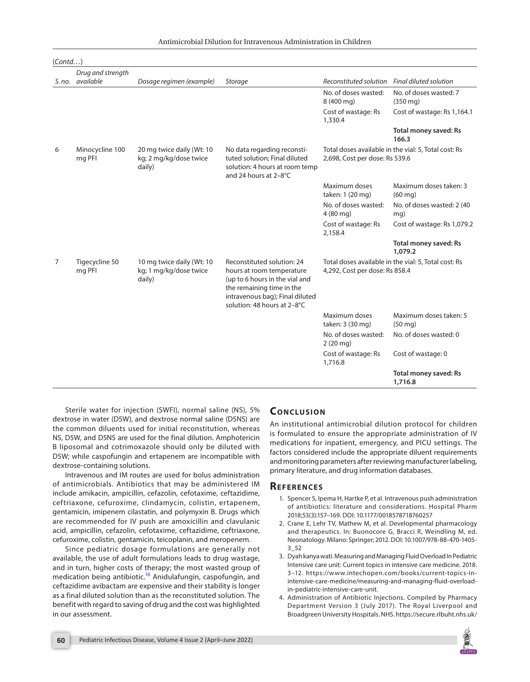<span id="page-13-4"></span>

| (Contd) |                                       |                                                               |                                                                                                                                                                                          |                                                                                        |                                                      |  |  |  |  |
|---------|---------------------------------------|---------------------------------------------------------------|------------------------------------------------------------------------------------------------------------------------------------------------------------------------------------------|----------------------------------------------------------------------------------------|------------------------------------------------------|--|--|--|--|
|         | Drug and strength<br>S. no. available | Dosage regimen (example)                                      | Storage                                                                                                                                                                                  | Reconstituted solution                                                                 | Final diluted solution                               |  |  |  |  |
|         |                                       |                                                               |                                                                                                                                                                                          | No. of doses wasted:<br>8 (400 mg)                                                     | No. of doses wasted: 7<br>$(350 \text{ mg})$         |  |  |  |  |
|         |                                       |                                                               |                                                                                                                                                                                          | Cost of wastage: Rs<br>1,330.4                                                         | Cost of wastage: Rs 1,164.1                          |  |  |  |  |
|         |                                       |                                                               |                                                                                                                                                                                          |                                                                                        | <b>Total money saved: Rs</b><br>166.3                |  |  |  |  |
| 6       | Minocycline 100<br>mg PFI             | 20 mg twice daily (Wt: 10<br>kg; 2 mg/kg/dose twice<br>daily) | No data regarding reconsti-<br>tuted solution; Final diluted<br>solution: 4 hours at room temp<br>and 24 hours at 2-8°C                                                                  | 2,698, Cost per dose: Rs 539.6                                                         | Total doses available in the vial: 5, Total cost: Rs |  |  |  |  |
|         |                                       |                                                               |                                                                                                                                                                                          | Maximum doses<br>taken: 1 (20 mg)                                                      | Maximum doses taken: 3<br>$(60 \text{ mg})$          |  |  |  |  |
|         |                                       |                                                               |                                                                                                                                                                                          | No. of doses wasted:<br>$4(80 \text{ mg})$                                             | No. of doses wasted: 2 (40)<br>mg)                   |  |  |  |  |
|         |                                       |                                                               |                                                                                                                                                                                          | Cost of wastage: Rs<br>2,158.4                                                         | Cost of wastage: Rs 1,079.2                          |  |  |  |  |
|         |                                       |                                                               |                                                                                                                                                                                          |                                                                                        | Total money saved: Rs<br>1,079.2                     |  |  |  |  |
| 7       | Tigecycline 50<br>mg PFI              | 10 mg twice daily (Wt: 10<br>kg; 1 mg/kg/dose twice<br>daily) | Reconstituted solution: 24<br>hours at room temperature<br>(up to 6 hours in the vial and<br>the remaining time in the<br>intravenous bag); Final diluted<br>solution: 48 hours at 2-8°C | Total doses available in the vial: 5, Total cost: Rs<br>4,292, Cost per dose: Rs 858.4 |                                                      |  |  |  |  |
|         |                                       |                                                               |                                                                                                                                                                                          | Maximum doses<br>taken: 3 (30 mg)                                                      | Maximum doses taken: 5<br>$(50 \text{ mg})$          |  |  |  |  |
|         |                                       |                                                               |                                                                                                                                                                                          | No. of doses wasted:<br>$2(20 \text{ mg})$                                             | No. of doses wasted: 0                               |  |  |  |  |
|         |                                       |                                                               |                                                                                                                                                                                          | Cost of wastage: Rs<br>1,716.8                                                         | Cost of wastage: 0                                   |  |  |  |  |
|         |                                       |                                                               |                                                                                                                                                                                          |                                                                                        | <b>Total money saved: Rs</b><br>1,716.8              |  |  |  |  |

Sterile water for injection (SWFI), normal saline (NS), 5% dextrose in water (D5W), and dextrose normal saline (D5NS) are the common diluents used for initial reconstitution, whereas NS, D5W, and D5NS are used for the final dilution. Amphotericin B liposomal and cotrimoxazole should only be diluted with D5W; while caspofungin and ertapenem are incompatible with dextrose-containing solutions.

Intravenous and IM routes are used for bolus administration of antimicrobials. Antibiotics that may be administered IM include amikacin, ampicillin, cefazolin, cefotaxime, ceftazidime, ceftriaxone, cefuroxime, clindamycin, colistin, ertapenem, gentamicin, imipenem cilastatin, and polymyxin B. Drugs which are recommended for IV push are amoxicillin and clavulanic acid, ampicillin, cefazolin, cefotaxime, ceftazidime, ceftriaxone, cefuroxime, colistin, gentamicin, teicoplanin, and meropenem.

Since pediatric dosage formulations are generally not available, the use of adult formulations leads to drug wastage, and in turn, higher costs of therapy; the most wasted group of medication being antibiotic[.16](#page-14-8) Anidulafungin, caspofungin, and ceftazidime avibactam are expensive and their stability is longer as a final diluted solution than as the reconstituted solution. The benefit with regard to saving of drug and the cost was highlighted in our assessment.

## **CONCLUSION**

An institutional antimicrobial dilution protocol for children is formulated to ensure the appropriate administration of IV medications for inpatient, emergency, and PICU settings. The factors considered include the appropriate diluent requirements and monitoring parameters after reviewing manufacturer labeling, primary literature, and drug information databases.

#### **REFERENCES**

- <span id="page-13-0"></span>[1.](#page-0-1) Spencer S, Ipema H, Hartke P, et al. Intravenous push administration of antibiotics: literature and considerations. Hospital Pharm 2018;53(3):157–169. DOI: [10.1177/0018578718760257](https://doi.org/10.1177/0018578718760257)
- <span id="page-13-1"></span>[2.](#page-0-2) Crane E, Lehr TV, Mathew M, et al. Developmental pharmacology and therapeutics. In: Buonocore G, Bracci R, Weindling M, ed. Neonatology. Milano: Springer; 2012. DOI: [10.1007/978-88-470-1405-](https://doi.org/10.1007/978-88-470-1405-3_52) [3\\_52](https://doi.org/10.1007/978-88-470-1405-3_52)
- <span id="page-13-5"></span><span id="page-13-2"></span>[3.](#page-0-3) Dyah kanya wati. Measuring and Managing Fluid Overload In Pediatric Intensive care unit: Current topics in intensive care medicine. 2018. 3–12. https://www.intechopen.com/books/current-topics-inintensive-care-medicine/measuring-and-managing-fluid-overloadin-pediatric-intensive-care-unit.
- <span id="page-13-3"></span>[4.](#page-0-4) Administration of Antibiotic Injections. Compiled by Pharmacy Department Version 3 (July 2017). The Royal Liverpool and Broadgreen University Hospitals. NHS. [https://secure.rlbuht.nhs.uk/](https://secure.rlbuht.nhs.uk/sites/Antibiotic/Documents/Antibiotic%20IV%20administration%20chart%202017%20a3%201%20sheet.pdf)